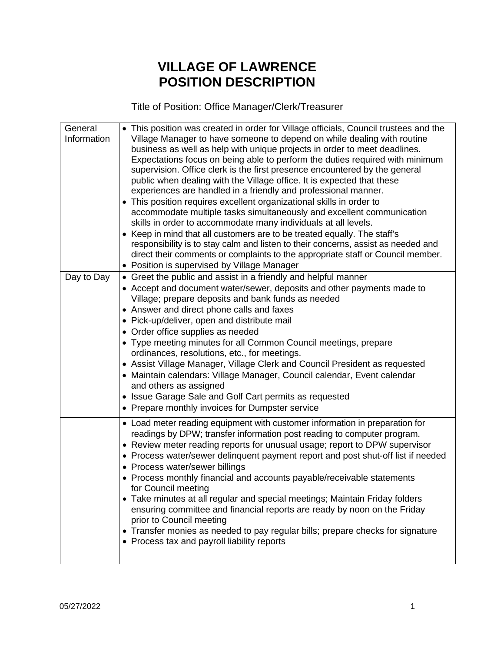## **VILLAGE OF LAWRENCE POSITION DESCRIPTION**

Title of Position: Office Manager/Clerk/Treasurer

| General     | • This position was created in order for Village officials, Council trustees and the                                          |
|-------------|-------------------------------------------------------------------------------------------------------------------------------|
| Information | Village Manager to have someone to depend on while dealing with routine                                                       |
|             | business as well as help with unique projects in order to meet deadlines.                                                     |
|             | Expectations focus on being able to perform the duties required with minimum                                                  |
|             | supervision. Office clerk is the first presence encountered by the general                                                    |
|             | public when dealing with the Village office. It is expected that these                                                        |
|             | experiences are handled in a friendly and professional manner.                                                                |
|             | • This position requires excellent organizational skills in order to                                                          |
|             | accommodate multiple tasks simultaneously and excellent communication                                                         |
|             | skills in order to accommodate many individuals at all levels.                                                                |
|             |                                                                                                                               |
|             | • Keep in mind that all customers are to be treated equally. The staff's                                                      |
|             | responsibility is to stay calm and listen to their concerns, assist as needed and                                             |
|             | direct their comments or complaints to the appropriate staff or Council member.                                               |
|             | • Position is supervised by Village Manager                                                                                   |
| Day to Day  | • Greet the public and assist in a friendly and helpful manner                                                                |
|             | • Accept and document water/sewer, deposits and other payments made to                                                        |
|             | Village; prepare deposits and bank funds as needed                                                                            |
|             | • Answer and direct phone calls and faxes                                                                                     |
|             | • Pick-up/deliver, open and distribute mail                                                                                   |
|             | • Order office supplies as needed                                                                                             |
|             | • Type meeting minutes for all Common Council meetings, prepare                                                               |
|             | ordinances, resolutions, etc., for meetings.                                                                                  |
|             | • Assist Village Manager, Village Clerk and Council President as requested                                                    |
|             | • Maintain calendars: Village Manager, Council calendar, Event calendar                                                       |
|             | and others as assigned                                                                                                        |
|             | • Issue Garage Sale and Golf Cart permits as requested                                                                        |
|             | • Prepare monthly invoices for Dumpster service                                                                               |
|             |                                                                                                                               |
|             | • Load meter reading equipment with customer information in preparation for                                                   |
|             | readings by DPW; transfer information post reading to computer program.                                                       |
|             | • Review meter reading reports for unusual usage; report to DPW supervisor                                                    |
|             | • Process water/sewer delinquent payment report and post shut-off list if needed                                              |
|             | • Process water/sewer billings                                                                                                |
|             | • Process monthly financial and accounts payable/receivable statements                                                        |
|             | for Council meeting                                                                                                           |
|             | • Take minutes at all regular and special meetings; Maintain Friday folders                                                   |
|             | ensuring committee and financial reports are ready by noon on the Friday                                                      |
|             | prior to Council meeting                                                                                                      |
|             |                                                                                                                               |
|             | • Transfer monies as needed to pay regular bills; prepare checks for signature<br>• Process tax and payroll liability reports |
|             |                                                                                                                               |
|             |                                                                                                                               |